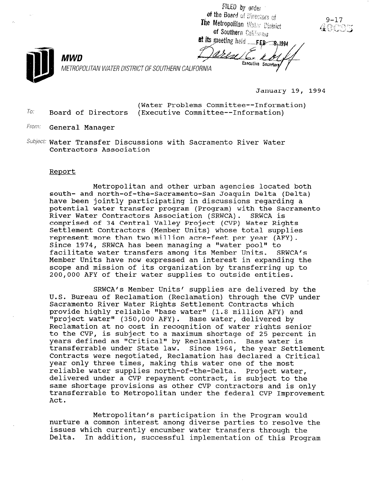FILED by order of the Board of Directors of The Metropolitan Water District of Southern California

MWD

To:

at its meeting held FEB 8.1994 Executive Secretary

METROPOLITAN WATER DISTRICT OF SOUTHERN CALIFORNIA

January 19, 1994

 $9 - 17$ 

(Water Problems Committee--Information) Board of Directors (Executive Committee--Information)

- From: General Manager
- Subject: Water Transfer Discussions with Sacramento River Water Contractors Association

## Report

Metropolitan and other urban agencies located both south- and north-of-the-Sacramento-San Joaquin Delta (Delta) have been jointly participating in discussions regarding a potential water transfer program (Program) with the Sacramento River Water Contractors Association (SRWCA). SRWCA is comprised of 34 Central Valley Project (CVP) Water Rights Settlement Contractors (Member Units) whose total supplies represent more than two million acre-feet per year (AFY). Since 1974, SRWCA has been managing a "water pool" to facilitate water transfers among its Member Units. SRWCA's Member Units have now expressed an interest in expanding the scope and mission of its organization by transferring up to 200,000 AFY of their water supplies to outside entities.

SRWCA's Member Units' supplies are delivered by the U.S. Bureau of Reclamation (Reclamation) through the CVP under Sacramento River Water Rights Settlement Contracts which provide highly reliable "base water" (1.8 million AFY) and "project water" (350,000 AFY). Base water, delivered by Reclamation at no cost in recognition of water rights senior to the CVP, is subject to a maximum shortage of 25 percent in years defined as "Critical" by Reclamation. Base water is transferrable under State law. Since 1964, the year Settlement Contracts were negotiated, Reclamation has declared a Critical year only three times, making this water one of the most reliable water supplies north-of-the-Delta. Project water, delivered under a CVP repayment contract, is subject to the same shortage provisions as other CVP contractors and is only transferrable to Metropolitan under the federal CVP Improvement Act.

Metropolitan's participation in the Program would necroporican s participation in the Program would issues which currently transfers water transferred to resorve issues which currently encumber water transfers through the<br>Delta. In addition, successful implementation of this Program